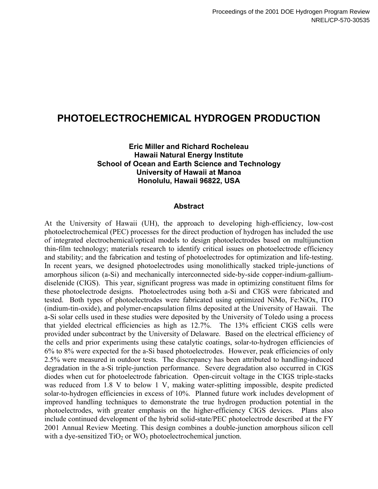# **PHOTOELECTROCHEMICAL HYDROGEN PRODUCTION**

#### **Eric Miller and Richard Rocheleau Hawaii Natural Energy Institute School of Ocean and Earth Science and Technology University of Hawaii at Manoa Honolulu, Hawaii 96822, USA**

#### **Abstract**

At the University of Hawaii (UH), the approach to developing high-efficiency, low-cost photoelectrochemical (PEC) processes for the direct production of hydrogen has included the use of integrated electrochemical/optical models to design photoelectrodes based on multijunction thin-film technology; materials research to identify critical issues on photoelectrode efficiency and stability; and the fabrication and testing of photoelectrodes for optimization and life-testing. In recent years, we designed photoelectrodes using monolithically stacked triple-junctions of amorphous silicon (a-Si) and mechanically interconnected side-by-side copper-indium-galliumdiselenide (CIGS). This year, significant progress was made in optimizing constituent films for these photoelectrode designs. Photoelectrodes using both a-Si and CIGS were fabricated and tested. Both types of photoelectrodes were fabricated using optimized NiMo, Fe:NiOx, ITO (indium-tin-oxide), and polymer-encapsulation films deposited at the University of Hawaii. The a-Si solar cells used in these studies were deposited by the University of Toledo using a process that yielded electrical efficiencies as high as 12.7%. The 13% efficient CIGS cells were provided under subcontract by the University of Delaware. Based on the electrical efficiency of the cells and prior experiments using these catalytic coatings, solar-to-hydrogen efficiencies of 6% to 8% were expected for the a-Si based photoelectrodes. However, peak efficiencies of only 2.5% were measured in outdoor tests. The discrepancy has been attributed to handling-induced degradation in the a-Si triple-junction performance. Severe degradation also occurred in CIGS diodes when cut for photoelectrode fabrication. Open-circuit voltage in the CIGS triple-stacks was reduced from 1.8 V to below 1 V, making water-splitting impossible, despite predicted solar-to-hydrogen efficiencies in excess of 10%. Planned future work includes development of improved handling techniques to demonstrate the true hydrogen production potential in the photoelectrodes, with greater emphasis on the higher-efficiency CIGS devices. Plans also include continued development of the hybrid solid-state/PEC photoelectrode described at the FY 2001 Annual Review Meeting. This design combines a double-junction amorphous silicon cell with a dye-sensitized  $TiO<sub>2</sub>$  or WO<sub>3</sub> photoelectrochemical junction.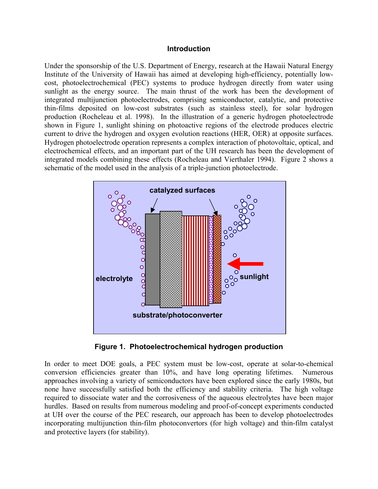#### **Introduction**

Under the sponsorship of the U.S. Department of Energy, research at the Hawaii Natural Energy Institute of the University of Hawaii has aimed at developing high-efficiency, potentially lowcost, photoelectrochemical (PEC) systems to produce hydrogen directly from water using sunlight as the energy source. The main thrust of the work has been the development of integrated multijunction photoelectrodes, comprising semiconductor, catalytic, and protective thin-films deposited on low-cost substrates (such as stainless steel), for solar hydrogen production (Rocheleau et al. 1998). In the illustration of a generic hydrogen photoelectrode shown in Figure 1, sunlight shining on photoactive regions of the electrode produces electric current to drive the hydrogen and oxygen evolution reactions (HER, OER) at opposite surfaces. Hydrogen photoelectrode operation represents a complex interaction of photovoltaic, optical, and electrochemical effects, and an important part of the UH research has been the development of integrated models combining these effects (Rocheleau and Vierthaler 1994). Figure 2 shows a schematic of the model used in the analysis of a triple-junction photoelectrode.



**Figure 1. Photoelectrochemical hydrogen production**

In order to meet DOE goals, a PEC system must be low-cost, operate at solar-to-chemical conversion efficiencies greater than 10%, and have long operating lifetimes. Numerous approaches involving a variety of semiconductors have been explored since the early 1980s, but none have successfully satisfied both the efficiency and stability criteria. The high voltage required to dissociate water and the corrosiveness of the aqueous electrolytes have been major hurdles. Based on results from numerous modeling and proof-of-concept experiments conducted at UH over the course of the PEC research, our approach has been to develop photoelectrodes incorporating multijunction thin-film photoconvertors (for high voltage) and thin-film catalyst and protective layers (for stability).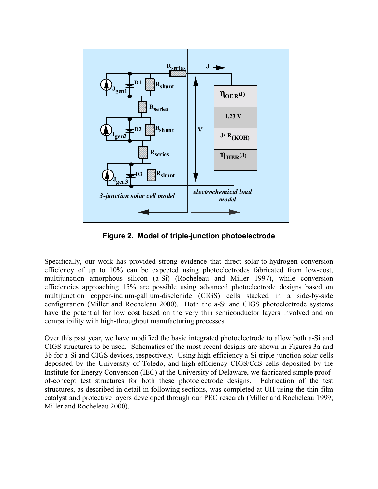

**Figure 2. Model of triple-junction photoelectrode**

Specifically, our work has provided strong evidence that direct solar-to-hydrogen conversion efficiency of up to 10% can be expected using photoelectrodes fabricated from low-cost, multijunction amorphous silicon (a-Si) (Rocheleau and Miller 1997), while conversion efficiencies approaching 15% are possible using advanced photoelectrode designs based on multijunction copper-indium-gallium-diselenide (CIGS) cells stacked in a side-by-side configuration (Miller and Rocheleau 2000). Both the a-Si and CIGS photoelectrode systems have the potential for low cost based on the very thin semiconductor layers involved and on compatibility with high-throughput manufacturing processes.

Over this past year, we have modified the basic integrated photoelectrode to allow both a-Si and CIGS structures to be used. Schematics of the most recent designs are shown in Figures 3a and 3b for a-Si and CIGS devices, respectively. Using high-efficiency a-Si triple-junction solar cells deposited by the University of Toledo, and high-efficiency CIGS/CdS cells deposited by the Institute for Energy Conversion (IEC) at the University of Delaware, we fabricated simple proofof-concept test structures for both these photoelectrode designs. Fabrication of the test structures, as described in detail in following sections, was completed at UH using the thin-film catalyst and protective layers developed through our PEC research (Miller and Rocheleau 1999; Miller and Rocheleau 2000).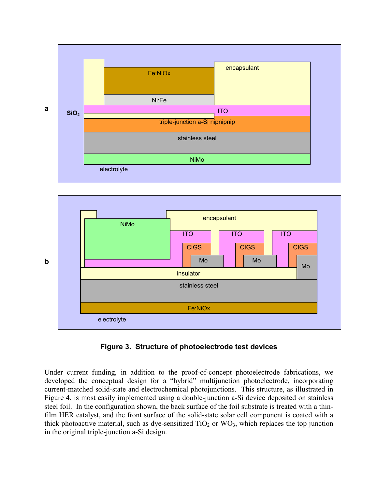



#### **Figure 3. Structure of photoelectrode test devices**

Under current funding, in addition to the proof-of-concept photoelectrode fabrications, we developed the conceptual design for a "hybrid" multijunction photoelectrode, incorporating current-matched solid-state and electrochemical photojunctions. This structure, as illustrated in Figure 4, is most easily implemented using a double-junction a-Si device deposited on stainless steel foil. In the configuration shown, the back surface of the foil substrate is treated with a thinfilm HER catalyst, and the front surface of the solid-state solar cell component is coated with a thick photoactive material, such as dye-sensitized  $TiO<sub>2</sub>$  or  $WO<sub>3</sub>$ , which replaces the top junction in the original triple-junction a-Si design.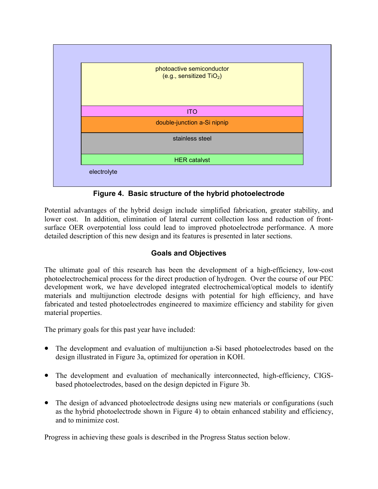

**Figure 4. Basic structure of the hybrid photoelectrode**

Potential advantages of the hybrid design include simplified fabrication, greater stability, and lower cost. In addition, elimination of lateral current collection loss and reduction of frontsurface OER overpotential loss could lead to improved photoelectrode performance. A more detailed description of this new design and its features is presented in later sections.

# **Goals and Objectives**

The ultimate goal of this research has been the development of a high-efficiency, low-cost photoelectrochemical process for the direct production of hydrogen. Over the course of our PEC development work, we have developed integrated electrochemical/optical models to identify materials and multijunction electrode designs with potential for high efficiency, and have fabricated and tested photoelectrodes engineered to maximize efficiency and stability for given material properties.

The primary goals for this past year have included:

- The development and evaluation of multijunction a-Si based photoelectrodes based on the design illustrated in Figure 3a, optimized for operation in KOH.
- The development and evaluation of mechanically interconnected, high-efficiency, CIGSbased photoelectrodes, based on the design depicted in Figure 3b.
- The design of advanced photoelectrode designs using new materials or configurations (such as the hybrid photoelectrode shown in Figure 4) to obtain enhanced stability and efficiency, and to minimize cost.

Progress in achieving these goals is described in the Progress Status section below.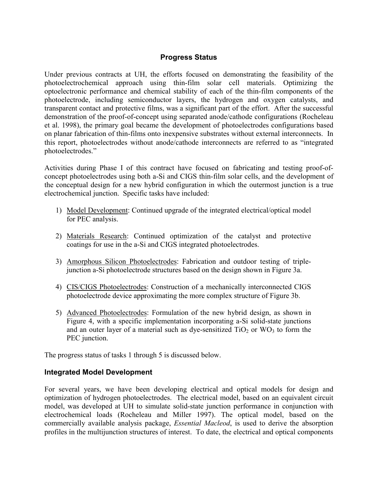## **Progress Status**

Under previous contracts at UH, the efforts focused on demonstrating the feasibility of the photoelectrochemical approach using thin-film solar cell materials. Optimizing the optoelectronic performance and chemical stability of each of the thin-film components of the photoelectrode, including semiconductor layers, the hydrogen and oxygen catalysts, and transparent contact and protective films, was a significant part of the effort. After the successful demonstration of the proof-of-concept using separated anode/cathode configurations (Rocheleau et al. 1998), the primary goal became the development of photoelectrodes configurations based on planar fabrication of thin-films onto inexpensive substrates without external interconnects. In this report, photoelectrodes without anode/cathode interconnects are referred to as "integrated photoelectrodes."

Activities during Phase I of this contract have focused on fabricating and testing proof-ofconcept photoelectrodes using both a-Si and CIGS thin-film solar cells, and the development of the conceptual design for a new hybrid configuration in which the outermost junction is a true electrochemical junction. Specific tasks have included:

- 1) Model Development: Continued upgrade of the integrated electrical/optical model for PEC analysis.
- 2) Materials Research: Continued optimization of the catalyst and protective coatings for use in the a-Si and CIGS integrated photoelectrodes.
- 3) Amorphous Silicon Photoelectrodes: Fabrication and outdoor testing of triplejunction a-Si photoelectrode structures based on the design shown in Figure 3a.
- 4) CIS/CIGS Photoelectrodes: Construction of a mechanically interconnected CIGS photoelectrode device approximating the more complex structure of Figure 3b.
- 5) Advanced Photoelectrodes: Formulation of the new hybrid design, as shown in Figure 4, with a specific implementation incorporating a-Si solid-state junctions and an outer layer of a material such as dye-sensitized  $TiO<sub>2</sub>$  or WO<sub>3</sub> to form the PEC junction.

The progress status of tasks 1 through 5 is discussed below.

#### **Integrated Model Development**

For several years, we have been developing electrical and optical models for design and optimization of hydrogen photoelectrodes. The electrical model, based on an equivalent circuit model, was developed at UH to simulate solid-state junction performance in conjunction with electrochemical loads (Rocheleau and Miller 1997). The optical model, based on the commercially available analysis package, *Essential Macleod*, is used to derive the absorption profiles in the multijunction structures of interest. To date, the electrical and optical components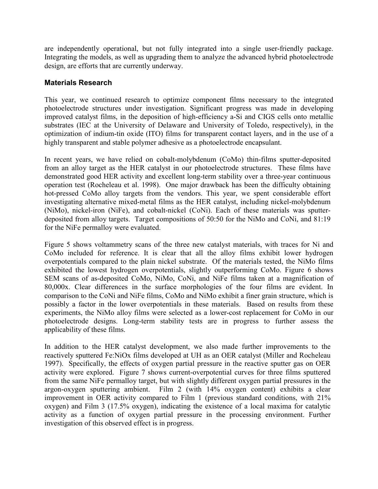are independently operational, but not fully integrated into a single user-friendly package. Integrating the models, as well as upgrading them to analyze the advanced hybrid photoelectrode design, are efforts that are currently underway.

## **Materials Research**

This year, we continued research to optimize component films necessary to the integrated photoelectrode structures under investigation. Significant progress was made in developing improved catalyst films, in the deposition of high-efficiency a-Si and CIGS cells onto metallic substrates (IEC at the University of Delaware and University of Toledo, respectively), in the optimization of indium-tin oxide (ITO) films for transparent contact layers, and in the use of a highly transparent and stable polymer adhesive as a photoelectrode encapsulant.

In recent years, we have relied on cobalt-molybdenum (CoMo) thin-films sputter-deposited from an alloy target as the HER catalyst in our photoelectrode structures. These films have demonstrated good HER activity and excellent long-term stability over a three-year continuous operation test (Rocheleau et al. 1998). One major drawback has been the difficulty obtaining hot-pressed CoMo alloy targets from the vendors. This year, we spent considerable effort investigating alternative mixed-metal films as the HER catalyst, including nickel-molybdenum (NiMo), nickel-iron (NiFe), and cobalt-nickel (CoNi). Each of these materials was sputterdeposited from alloy targets. Target compositions of 50:50 for the NiMo and CoNi, and 81:19 for the NiFe permalloy were evaluated.

Figure 5 shows voltammetry scans of the three new catalyst materials, with traces for Ni and CoMo included for reference. It is clear that all the alloy films exhibit lower hydrogen overpotentials compared to the plain nickel substrate. Of the materials tested, the NiMo films exhibited the lowest hydrogen overpotentials, slightly outperforming CoMo. Figure 6 shows SEM scans of as-deposited CoMo, NiMo, CoNi, and NiFe films taken at a magnification of 80,000x. Clear differences in the surface morphologies of the four films are evident. In comparison to the CoNi and NiFe films, CoMo and NiMo exhibit a finer grain structure, which is possibly a factor in the lower overpotentials in these materials. Based on results from these experiments, the NiMo alloy films were selected as a lower-cost replacement for CoMo in our photoelectrode designs. Long-term stability tests are in progress to further assess the applicability of these films.

In addition to the HER catalyst development, we also made further improvements to the reactively sputtered Fe:NiOx films developed at UH as an OER catalyst (Miller and Rocheleau 1997). Specifically, the effects of oxygen partial pressure in the reactive sputter gas on OER activity were explored. Figure 7 shows current-overpotential curves for three films sputtered from the same NiFe permalloy target, but with slightly different oxygen partial pressures in the argon-oxygen sputtering ambient. Film 2 (with 14% oxygen content) exhibits a clear improvement in OER activity compared to Film 1 (previous standard conditions, with 21% oxygen) and Film 3 (17.5% oxygen), indicating the existence of a local maxima for catalytic activity as a function of oxygen partial pressure in the processing environment. Further investigation of this observed effect is in progress.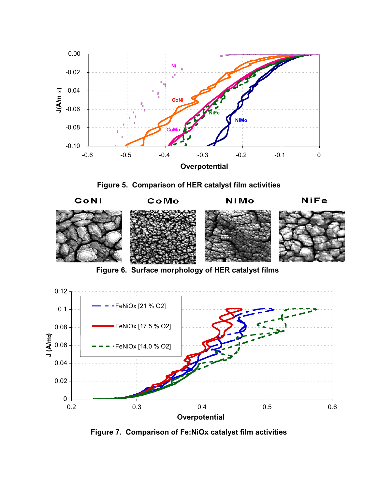





**Figure 6. Surface morphology of HER catalyst films**



**Figure 7. Comparison of Fe:NiOx catalyst film activities**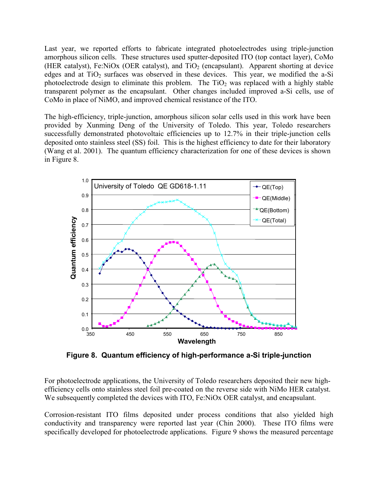Last year, we reported efforts to fabricate integrated photoelectrodes using triple-junction amorphous silicon cells. These structures used sputter-deposited ITO (top contact layer), CoMo (HER catalyst), Fe:NiOx (OER catalyst), and  $TiO<sub>2</sub>$  (encapsulant). Apparent shorting at device edges and at  $TiO<sub>2</sub>$  surfaces was observed in these devices. This year, we modified the a-Si photoelectrode design to eliminate this problem. The  $TiO<sub>2</sub>$  was replaced with a highly stable transparent polymer as the encapsulant. Other changes included improved a-Si cells, use of CoMo in place of NiMO, and improved chemical resistance of the ITO.

The high-efficiency, triple-junction, amorphous silicon solar cells used in this work have been provided by Xunming Deng of the University of Toledo. This year, Toledo researchers successfully demonstrated photovoltaic efficiencies up to 12.7% in their triple-junction cells deposited onto stainless steel (SS) foil. This is the highest efficiency to date for their laboratory (Wang et al. 2001). The quantum efficiency characterization for one of these devices is shown in Figure 8.



**Figure 8. Quantum efficiency of high-performance a-Si triple-junction**

For photoelectrode applications, the University of Toledo researchers deposited their new highefficiency cells onto stainless steel foil pre-coated on the reverse side with NiMo HER catalyst. We subsequently completed the devices with ITO, Fe:NiOx OER catalyst, and encapsulant.

Corrosion-resistant ITO films deposited under process conditions that also yielded high conductivity and transparency were reported last year (Chin 2000). These ITO films were specifically developed for photoelectrode applications. Figure 9 shows the measured percentage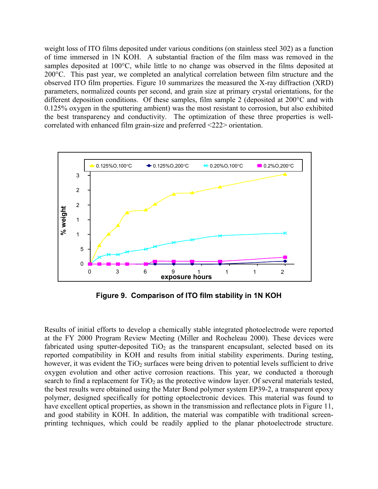weight loss of ITO films deposited under various conditions (on stainless steel 302) as a function of time immersed in 1N KOH. A substantial fraction of the film mass was removed in the samples deposited at 100°C, while little to no change was observed in the films deposited at 200°C. This past year, we completed an analytical correlation between film structure and the observed ITO film properties. Figure 10 summarizes the measured the X-ray diffraction (XRD) parameters, normalized counts per second, and grain size at primary crystal orientations, for the different deposition conditions. Of these samples, film sample 2 (deposited at 200°C and with 0.125% oxygen in the sputtering ambient) was the most resistant to corrosion, but also exhibited the best transparency and conductivity. The optimization of these three properties is wellcorrelated with enhanced film grain-size and preferred <222> orientation.



**Figure 9. Comparison of ITO film stability in 1N KOH**

Results of initial efforts to develop a chemically stable integrated photoelectrode were reported at the FY 2000 Program Review Meeting (Miller and Rocheleau 2000). These devices were fabricated using sputter-deposited  $TiO<sub>2</sub>$  as the transparent encapsulant, selected based on its reported compatibility in KOH and results from initial stability experiments. During testing, however, it was evident the  $TiO<sub>2</sub>$  surfaces were being driven to potential levels sufficient to drive oxygen evolution and other active corrosion reactions. This year, we conducted a thorough search to find a replacement for  $TiO<sub>2</sub>$  as the protective window layer. Of several materials tested, the best results were obtained using the Mater Bond polymer system EP39-2, a transparent epoxy polymer, designed specifically for potting optoelectronic devices. This material was found to have excellent optical properties, as shown in the transmission and reflectance plots in Figure 11, and good stability in KOH. In addition, the material was compatible with traditional screenprinting techniques, which could be readily applied to the planar photoelectrode structure.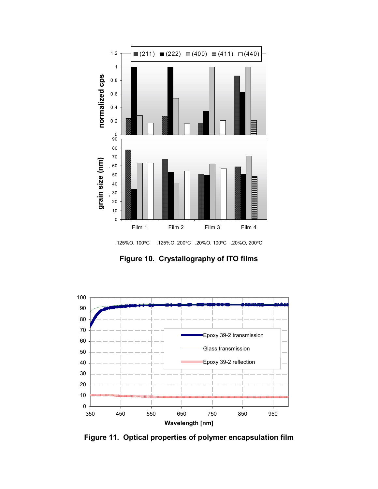

**Figure 10. Crystallography of ITO films**



**Figure 11. Optical properties of polymer encapsulation film**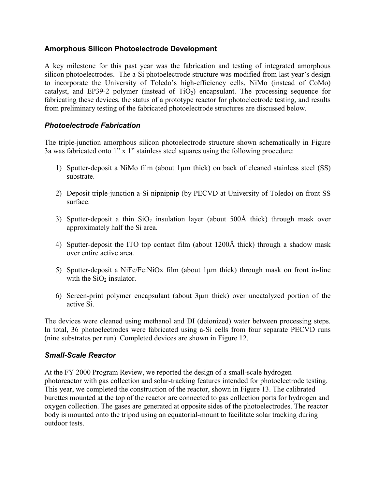## **Amorphous Silicon Photoelectrode Development**

A key milestone for this past year was the fabrication and testing of integrated amorphous silicon photoelectrodes. The a-Si photoelectrode structure was modified from last year's design to incorporate the University of Toledo's high-efficiency cells, NiMo (instead of CoMo) catalyst, and EP39-2 polymer (instead of  $TiO<sub>2</sub>$ ) encapsulant. The processing sequence for fabricating these devices, the status of a prototype reactor for photoelectrode testing, and results from preliminary testing of the fabricated photoelectrode structures are discussed below.

## *Photoelectrode Fabrication*

The triple-junction amorphous silicon photoelectrode structure shown schematically in Figure 3a was fabricated onto  $1$ " x  $1$ " stainless steel squares using the following procedure:

- 1) Sputter-deposit a NiMo film (about 1µm thick) on back of cleaned stainless steel (SS) substrate.
- 2) Deposit triple-junction a-Si nipnipnip (by PECVD at University of Toledo) on front SS surface.
- 3) Sputter-deposit a thin  $SiO<sub>2</sub>$  insulation layer (about 500Å thick) through mask over approximately half the Si area.
- 4) Sputter-deposit the ITO top contact film (about 1200Å thick) through a shadow mask over entire active area.
- 5) Sputter-deposit a NiFe/Fe:NiOx film (about 1µm thick) through mask on front in-line with the  $SiO<sub>2</sub>$  insulator.
- 6) Screen-print polymer encapsulant (about 3µm thick) over uncatalyzed portion of the active Si.

The devices were cleaned using methanol and DI (deionized) water between processing steps. In total, 36 photoelectrodes were fabricated using a-Si cells from four separate PECVD runs (nine substrates per run). Completed devices are shown in Figure 12.

#### *Small-Scale Reactor*

At the FY 2000 Program Review, we reported the design of a small-scale hydrogen photoreactor with gas collection and solar-tracking features intended for photoelectrode testing. This year, we completed the construction of the reactor, shown in Figure 13. The calibrated burettes mounted at the top of the reactor are connected to gas collection ports for hydrogen and oxygen collection. The gases are generated at opposite sides of the photoelectrodes. The reactor body is mounted onto the tripod using an equatorial-mount to facilitate solar tracking during outdoor tests.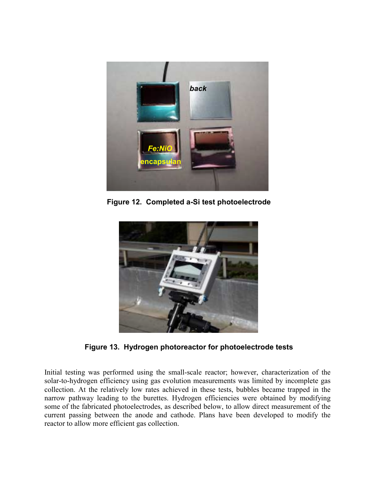

**Figure 12. Completed a-Si test photoelectrode**



**Figure 13. Hydrogen photoreactor for photoelectrode tests**

Initial testing was performed using the small-scale reactor; however, characterization of the solar-to-hydrogen efficiency using gas evolution measurements was limited by incomplete gas collection. At the relatively low rates achieved in these tests, bubbles became trapped in the narrow pathway leading to the burettes. Hydrogen efficiencies were obtained by modifying some of the fabricated photoelectrodes, as described below, to allow direct measurement of the current passing between the anode and cathode. Plans have been developed to modify the reactor to allow more efficient gas collection.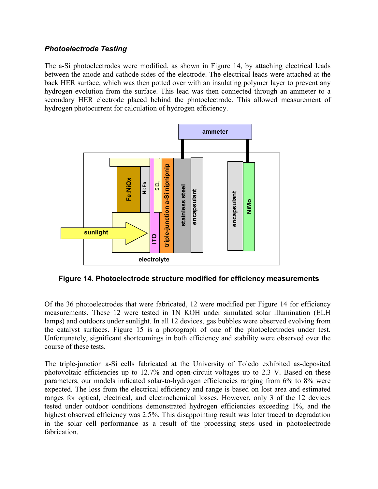## *Photoelectrode Testing*

The a-Si photoelectrodes were modified, as shown in Figure 14, by attaching electrical leads between the anode and cathode sides of the electrode. The electrical leads were attached at the back HER surface, which was then potted over with an insulating polymer layer to prevent any hydrogen evolution from the surface. This lead was then connected through an ammeter to a secondary HER electrode placed behind the photoelectrode. This allowed measurement of hydrogen photocurrent for calculation of hydrogen efficiency.



**Figure 14. Photoelectrode structure modified for efficiency measurements**

Of the 36 photoelectrodes that were fabricated, 12 were modified per Figure 14 for efficiency measurements. These 12 were tested in 1N KOH under simulated solar illumination (ELH lamps) and outdoors under sunlight. In all 12 devices, gas bubbles were observed evolving from the catalyst surfaces. Figure 15 is a photograph of one of the photoelectrodes under test. Unfortunately, significant shortcomings in both efficiency and stability were observed over the course of these tests.

The triple-junction a-Si cells fabricated at the University of Toledo exhibited as-deposited photovoltaic efficiencies up to 12.7% and open-circuit voltages up to 2.3 V. Based on these parameters, our models indicated solar-to-hydrogen efficiencies ranging from 6% to 8% were expected. The loss from the electrical efficiency and range is based on lost area and estimated ranges for optical, electrical, and electrochemical losses. However, only 3 of the 12 devices tested under outdoor conditions demonstrated hydrogen efficiencies exceeding 1%, and the highest observed efficiency was 2.5%. This disappointing result was later traced to degradation in the solar cell performance as a result of the processing steps used in photoelectrode fabrication.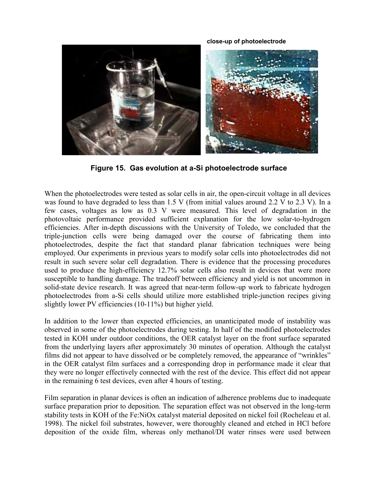**close-up of photoelectrode**



**Figure 15. Gas evolution at a-Si photoelectrode surface**

When the photoelectrodes were tested as solar cells in air, the open-circuit voltage in all devices was found to have degraded to less than 1.5 V (from initial values around 2.2 V to 2.3 V). In a few cases, voltages as low as 0.3 V were measured. This level of degradation in the photovoltaic performance provided sufficient explanation for the low solar-to-hydrogen efficiencies. After in-depth discussions with the University of Toledo, we concluded that the triple-junction cells were being damaged over the course of fabricating them into photoelectrodes, despite the fact that standard planar fabrication techniques were being employed. Our experiments in previous years to modify solar cells into photoelectrodes did not result in such severe solar cell degradation. There is evidence that the processing procedures used to produce the high-efficiency 12.7% solar cells also result in devices that were more susceptible to handling damage. The tradeoff between efficiency and yield is not uncommon in solid-state device research. It was agreed that near-term follow-up work to fabricate hydrogen photoelectrodes from a-Si cells should utilize more established triple-junction recipes giving slightly lower PV efficiencies (10-11%) but higher yield.

In addition to the lower than expected efficiencies, an unanticipated mode of instability was observed in some of the photoelectrodes during testing. In half of the modified photoelectrodes tested in KOH under outdoor conditions, the OER catalyst layer on the front surface separated from the underlying layers after approximately 30 minutes of operation. Although the catalyst films did not appear to have dissolved or be completely removed, the appearance of "wrinkles" in the OER catalyst film surfaces and a corresponding drop in performance made it clear that they were no longer effectively connected with the rest of the device. This effect did not appear in the remaining 6 test devices, even after 4 hours of testing.

Film separation in planar devices is often an indication of adherence problems due to inadequate surface preparation prior to deposition. The separation effect was not observed in the long-term stability tests in KOH of the Fe:NiOx catalyst material deposited on nickel foil (Rocheleau et al. 1998). The nickel foil substrates, however, were thoroughly cleaned and etched in HCl before deposition of the oxide film, whereas only methanol/DI water rinses were used between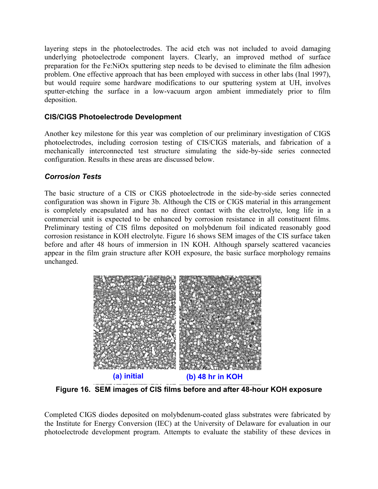layering steps in the photoelectrodes. The acid etch was not included to avoid damaging underlying photoelectrode component layers. Clearly, an improved method of surface preparation for the Fe:NiOx sputtering step needs to be devised to eliminate the film adhesion problem. One effective approach that has been employed with success in other labs (Inal 1997), but would require some hardware modifications to our sputtering system at UH, involves sputter-etching the surface in a low-vacuum argon ambient immediately prior to film deposition.

## **CIS/CIGS Photoelectrode Development**

Another key milestone for this year was completion of our preliminary investigation of CIGS photoelectrodes, including corrosion testing of CIS/CIGS materials, and fabrication of a mechanically interconnected test structure simulating the side-by-side series connected configuration. Results in these areas are discussed below.

# *Corrosion Tests*

The basic structure of a CIS or CIGS photoelectrode in the side-by-side series connected configuration was shown in Figure 3b. Although the CIS or CIGS material in this arrangement is completely encapsulated and has no direct contact with the electrolyte, long life in a commercial unit is expected to be enhanced by corrosion resistance in all constituent films. Preliminary testing of CIS films deposited on molybdenum foil indicated reasonably good corrosion resistance in KOH electrolyte. Figure 16 shows SEM images of the CIS surface taken before and after 48 hours of immersion in 1N KOH. Although sparsely scattered vacancies appear in the film grain structure after KOH exposure, the basic surface morphology remains unchanged.



**Figure 16. SEM images of CIS films before and after 48-hour KOH exposure**

Completed CIGS diodes deposited on molybdenum-coated glass substrates were fabricated by the Institute for Energy Conversion (IEC) at the University of Delaware for evaluation in our photoelectrode development program. Attempts to evaluate the stability of these devices in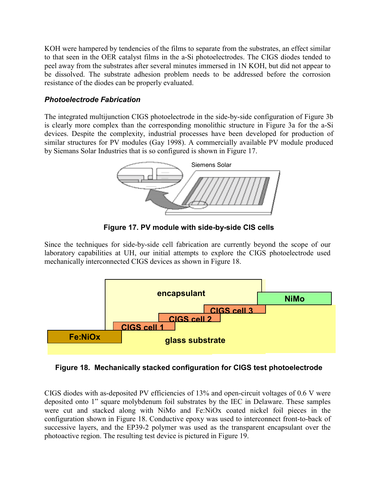KOH were hampered by tendencies of the films to separate from the substrates, an effect similar to that seen in the OER catalyst films in the a-Si photoelectrodes. The CIGS diodes tended to peel away from the substrates after several minutes immersed in 1N KOH, but did not appear to be dissolved. The substrate adhesion problem needs to be addressed before the corrosion resistance of the diodes can be properly evaluated.

## *Photoelectrode Fabrication*

The integrated multijunction CIGS photoelectrode in the side-by-side configuration of Figure 3b is clearly more complex than the corresponding monolithic structure in Figure 3a for the a-Si devices. Despite the complexity, industrial processes have been developed for production of similar structures for PV modules (Gay 1998). A commercially available PV module produced by Siemans Solar Industries that is so configured is shown in Figure 17.



**Figure 17. PV module with side-by-side CIS cells**

Since the techniques for side-by-side cell fabrication are currently beyond the scope of our laboratory capabilities at UH, our initial attempts to explore the CIGS photoelectrode used mechanically interconnected CIGS devices as shown in Figure 18.



**Figure 18. Mechanically stacked configuration for CIGS test photoelectrode**

CIGS diodes with as-deposited PV efficiencies of 13% and open-circuit voltages of 0.6 V were deposited onto 1" square molybdenum foil substrates by the IEC in Delaware. These samples were cut and stacked along with NiMo and Fe:NiOx coated nickel foil pieces in the configuration shown in Figure 18. Conductive epoxy was used to interconnect front-to-back of successive layers, and the EP39-2 polymer was used as the transparent encapsulant over the photoactive region. The resulting test device is pictured in Figure 19.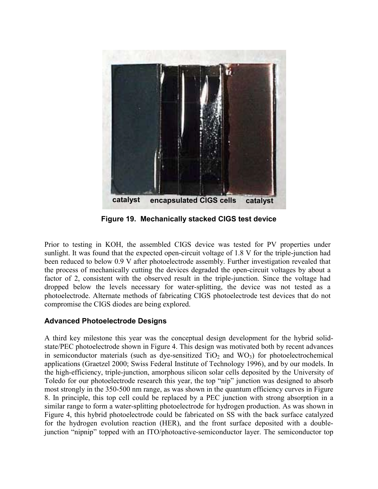

**Figure 19. Mechanically stacked CIGS test device**

Prior to testing in KOH, the assembled CIGS device was tested for PV properties under sunlight. It was found that the expected open-circuit voltage of 1.8 V for the triple-junction had been reduced to below 0.9 V after photoelectrode assembly. Further investigation revealed that the process of mechanically cutting the devices degraded the open-circuit voltages by about a factor of 2, consistent with the observed result in the triple-junction. Since the voltage had dropped below the levels necessary for water-splitting, the device was not tested as a photoelectrode. Alternate methods of fabricating CIGS photoelectrode test devices that do not compromise the CIGS diodes are being explored.

# **Advanced Photoelectrode Designs**

A third key milestone this year was the conceptual design development for the hybrid solidstate/PEC photoelectrode shown in Figure 4. This design was motivated both by recent advances in semiconductor materials (such as dye-sensitized  $TiO<sub>2</sub>$  and  $WO<sub>3</sub>$ ) for photoelectrochemical applications (Graetzel 2000; Swiss Federal Institute of Technology 1996), and by our models. In the high-efficiency, triple-junction, amorphous silicon solar cells deposited by the University of Toledo for our photoelectrode research this year, the top "nip" junction was designed to absorb most strongly in the 350-500 nm range, as was shown in the quantum efficiency curves in Figure 8. In principle, this top cell could be replaced by a PEC junction with strong absorption in a similar range to form a water-splitting photoelectrode for hydrogen production. As was shown in Figure 4, this hybrid photoelectrode could be fabricated on SS with the back surface catalyzed for the hydrogen evolution reaction (HER), and the front surface deposited with a doublejunction "nipnip" topped with an ITO/photoactive-semiconductor layer. The semiconductor top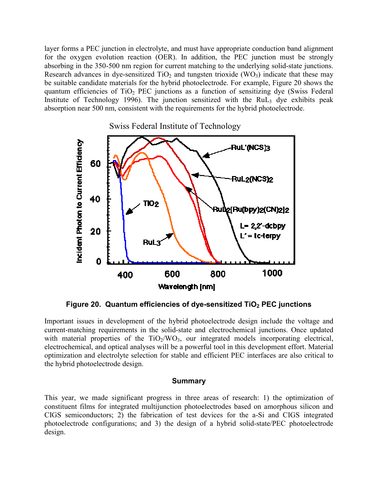layer forms a PEC junction in electrolyte, and must have appropriate conduction band alignment for the oxygen evolution reaction (OER). In addition, the PEC junction must be strongly absorbing in the 350-500 nm region for current matching to the underlying solid-state junctions. Research advances in dye-sensitized  $TiO<sub>2</sub>$  and tungsten trioxide (WO<sub>3</sub>) indicate that these may be suitable candidate materials for the hybrid photoelectrode. For example, Figure 20 shows the quantum efficiencies of TiO<sub>2</sub> PEC junctions as a function of sensitizing dye (Swiss Federal Institute of Technology 1996). The junction sensitized with the  $RuL<sub>3</sub>$  dye exhibits peak absorption near 500 nm, consistent with the requirements for the hybrid photoelectrode.



Figure 20. Quantum efficiencies of dye-sensitized TiO<sub>2</sub> PEC junctions

Important issues in development of the hybrid photoelectrode design include the voltage and current-matching requirements in the solid-state and electrochemical junctions. Once updated with material properties of the  $TiO<sub>2</sub>/WO<sub>3</sub>$ , our integrated models incorporating electrical, electrochemical, and optical analyses will be a powerful tool in this development effort. Material optimization and electrolyte selection for stable and efficient PEC interfaces are also critical to the hybrid photoelectrode design.

#### **Summary**

This year, we made significant progress in three areas of research: 1) the optimization of constituent films for integrated multijunction photoelectrodes based on amorphous silicon and CIGS semiconductors; 2) the fabrication of test devices for the a-Si and CIGS integrated photoelectrode configurations; and 3) the design of a hybrid solid-state/PEC photoelectrode design.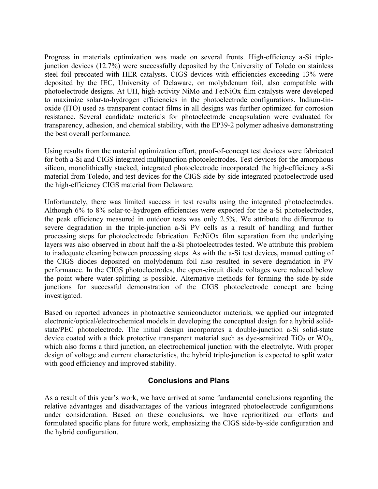Progress in materials optimization was made on several fronts. High-efficiency a-Si triplejunction devices (12.7%) were successfully deposited by the University of Toledo on stainless steel foil precoated with HER catalysts. CIGS devices with efficiencies exceeding 13% were deposited by the IEC, University of Delaware, on molybdenum foil, also compatible with photoelectrode designs. At UH, high-activity NiMo and Fe:NiOx film catalysts were developed to maximize solar-to-hydrogen efficiencies in the photoelectrode configurations. Indium-tinoxide (ITO) used as transparent contact films in all designs was further optimized for corrosion resistance. Several candidate materials for photoelectrode encapsulation were evaluated for transparency, adhesion, and chemical stability, with the EP39-2 polymer adhesive demonstrating the best overall performance.

Using results from the material optimization effort, proof-of-concept test devices were fabricated for both a-Si and CIGS integrated multijunction photoelectrodes. Test devices for the amorphous silicon, monolithically stacked, integrated photoelectrode incorporated the high-efficiency a-Si material from Toledo, and test devices for the CIGS side-by-side integrated photoelectrode used the high-efficiency CIGS material from Delaware.

Unfortunately, there was limited success in test results using the integrated photoelectrodes. Although 6% to 8% solar-to-hydrogen efficiencies were expected for the a-Si photoelectrodes, the peak efficiency measured in outdoor tests was only 2.5%. We attribute the difference to severe degradation in the triple-junction a-Si PV cells as a result of handling and further processing steps for photoelectrode fabrication. Fe:NiOx film separation from the underlying layers was also observed in about half the a-Si photoelectrodes tested. We attribute this problem to inadequate cleaning between processing steps. As with the a-Si test devices, manual cutting of the CIGS diodes deposited on molybdenum foil also resulted in severe degradation in PV performance. In the CIGS photoelectrodes, the open-circuit diode voltages were reduced below the point where water-splitting is possible. Alternative methods for forming the side-by-side junctions for successful demonstration of the CIGS photoelectrode concept are being investigated.

Based on reported advances in photoactive semiconductor materials, we applied our integrated electronic/optical/electrochemical models in developing the conceptual design for a hybrid solidstate/PEC photoelectrode. The initial design incorporates a double-junction a-Si solid-state device coated with a thick protective transparent material such as dye-sensitized  $TiO<sub>2</sub>$  or WO<sub>3</sub>, which also forms a third junction, an electrochemical junction with the electrolyte. With proper design of voltage and current characteristics, the hybrid triple-junction is expected to split water with good efficiency and improved stability.

#### **Conclusions and Plans**

As a result of this year's work, we have arrived at some fundamental conclusions regarding the relative advantages and disadvantages of the various integrated photoelectrode configurations under consideration. Based on these conclusions, we have reprioritized our efforts and formulated specific plans for future work, emphasizing the CIGS side-by-side configuration and the hybrid configuration.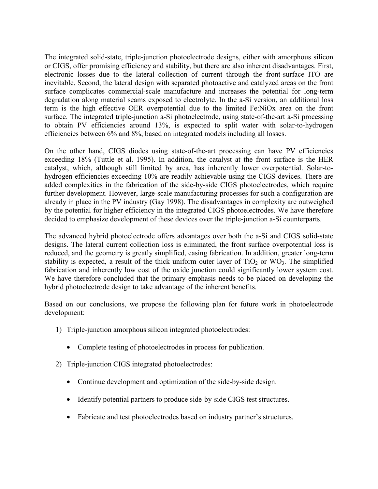The integrated solid-state, triple-junction photoelectrode designs, either with amorphous silicon or CIGS, offer promising efficiency and stability, but there are also inherent disadvantages. First, electronic losses due to the lateral collection of current through the front-surface ITO are inevitable. Second, the lateral design with separated photoactive and catalyzed areas on the front surface complicates commercial-scale manufacture and increases the potential for long-term degradation along material seams exposed to electrolyte. In the a-Si version, an additional loss term is the high effective OER overpotential due to the limited Fe:NiOx area on the front surface. The integrated triple-junction a-Si photoelectrode, using state-of-the-art a-Si processing to obtain PV efficiencies around 13%, is expected to split water with solar-to-hydrogen efficiencies between 6% and 8%, based on integrated models including all losses.

On the other hand, CIGS diodes using state-of-the-art processing can have PV efficiencies exceeding 18% (Tuttle et al. 1995). In addition, the catalyst at the front surface is the HER catalyst, which, although still limited by area, has inherently lower overpotential. Solar-tohydrogen efficiencies exceeding 10% are readily achievable using the CIGS devices. There are added complexities in the fabrication of the side-by-side CIGS photoelectrodes, which require further development. However, large-scale manufacturing processes for such a configuration are already in place in the PV industry (Gay 1998). The disadvantages in complexity are outweighed by the potential for higher efficiency in the integrated CIGS photoelectrodes. We have therefore decided to emphasize development of these devices over the triple-junction a-Si counterparts.

The advanced hybrid photoelectrode offers advantages over both the a-Si and CIGS solid-state designs. The lateral current collection loss is eliminated, the front surface overpotential loss is reduced, and the geometry is greatly simplified, easing fabrication. In addition, greater long-term stability is expected, a result of the thick uniform outer layer of  $TiO<sub>2</sub>$  or WO<sub>3</sub>. The simplified fabrication and inherently low cost of the oxide junction could significantly lower system cost. We have therefore concluded that the primary emphasis needs to be placed on developing the hybrid photoelectrode design to take advantage of the inherent benefits.

Based on our conclusions, we propose the following plan for future work in photoelectrode development:

- 1) Triple-junction amorphous silicon integrated photoelectrodes:
	- Complete testing of photoelectrodes in process for publication.
- 2) Triple-junction CIGS integrated photoelectrodes:
	- Continue development and optimization of the side-by-side design.
	- Identify potential partners to produce side-by-side CIGS test structures.
	- Fabricate and test photoelectrodes based on industry partner's structures.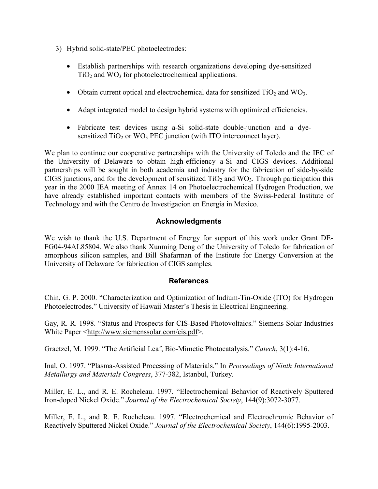- 3) Hybrid solid-state/PEC photoelectrodes:
	- Establish partnerships with research organizations developing dye-sensitized  $TiO<sub>2</sub>$  and WO<sub>3</sub> for photoelectrochemical applications.
	- Obtain current optical and electrochemical data for sensitized  $TiO<sub>2</sub>$  and WO<sub>3</sub>.
	- Adapt integrated model to design hybrid systems with optimized efficiencies.
	- Fabricate test devices using a-Si solid-state double-junction and a dyesensitized  $TiO<sub>2</sub>$  or WO<sub>3</sub> PEC junction (with ITO interconnect layer).

We plan to continue our cooperative partnerships with the University of Toledo and the IEC of the University of Delaware to obtain high-efficiency a-Si and CIGS devices. Additional partnerships will be sought in both academia and industry for the fabrication of side-by-side CIGS junctions, and for the development of sensitized  $TiO<sub>2</sub>$  and WO<sub>3</sub>. Through participation this year in the 2000 IEA meeting of Annex 14 on Photoelectrochemical Hydrogen Production, we have already established important contacts with members of the Swiss-Federal Institute of Technology and with the Centro de Investigacion en Energia in Mexico.

#### **Acknowledgments**

We wish to thank the U.S. Department of Energy for support of this work under Grant DE-FG04-94AL85804. We also thank Xunming Deng of the University of Toledo for fabrication of amorphous silicon samples, and Bill Shafarman of the Institute for Energy Conversion at the University of Delaware for fabrication of CIGS samples.

#### **References**

Chin, G. P. 2000. "Characterization and Optimization of Indium-Tin-Oxide (ITO) for Hydrogen Photoelectrodes." University of Hawaii Master's Thesis in Electrical Engineering.

Gay, R. R. 1998. "Status and Prospects for CIS-Based Photovoltaics." Siemens Solar Industries White Paper <[http://www.siemenssolar.com/cis.pdf>](http://www.siemenssolar.com/cis.pdf).

Graetzel, M. 1999. "The Artificial Leaf, Bio-Mimetic Photocatalysis." *Catech*, 3(1):4-16.

Inal, O. 1997. "Plasma-Assisted Processing of Materials." In *Proceedings of Ninth International Metallurgy and Materials Congress*, 377-382, Istanbul, Turkey.

Miller, E. L., and R. E. Rocheleau. 1997. "Electrochemical Behavior of Reactively Sputtered Iron-doped Nickel Oxide.î *Journal of the Electrochemical Society*, 144(9):3072-3077.

Miller, E. L., and R. E. Rocheleau. 1997. "Electrochemical and Electrochromic Behavior of Reactively Sputtered Nickel Oxide.î *Journal of the Electrochemical Society*, 144(6):1995-2003.